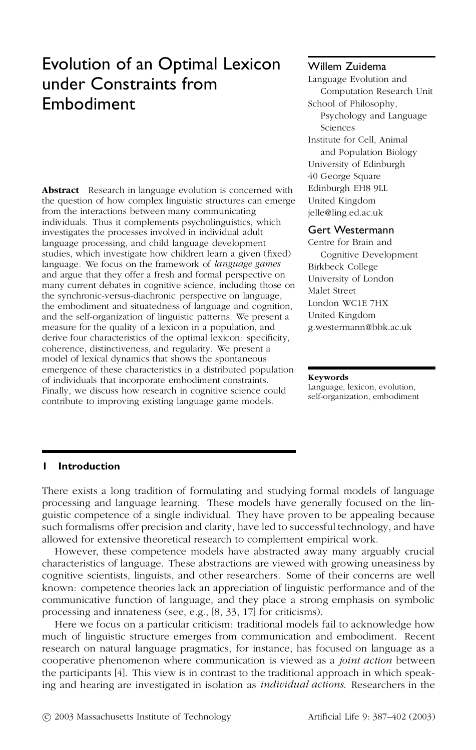# Evolution of an Optimal Lexicon under Constraints from Embodiment

**Abstract** Research in language evolution is concerned with the question of how complex linguistic structures can emerge from the interactions between many communicating individuals. Thus it complements psycholinguistics, which investigates the processes involved in individual adult language processing, and child language development studies, which investigate how children learn a given (fixed) language. We focus on the framework of *language games* and argue that they offer a fresh and formal perspective on many current debates in cognitive science, including those on the synchronic-versus-diachronic perspective on language, the embodiment and situatedness of language and cognition, and the self-organization of linguistic patterns. We present a measure for the quality of a lexicon in a population, and derive four characteristics of the optimal lexicon: specificity, coherence, distinctiveness, and regularity. We present a model of lexical dynamics that shows the spontaneous emergence of these characteristics in a distributed population of individuals that incorporate embodiment constraints. Finally, we discuss how research in cognitive science could contribute to improving existing language game models.

# Willem Zuidema

Language Evolution and Computation Research Unit School of Philosophy, Psychology and Language Sciences Institute for Cell, Animal and Population Biology University of Edinburgh 40 George Square Edinburgh EH8 9LL United Kingdom jelle@ling.ed.ac.uk

#### Gert Westermann

Centre for Brain and Cognitive Development Birkbeck College University of London Malet Street London WC1E 7HX United Kingdom g.westermann@bbk.ac.uk

#### **Keywords**

Language, lexicon, evolution, self-organization, embodiment

# **1 Introduction**

There exists a long tradition of formulating and studying formal models of language processing and language learning. These models have generally focused on the linguistic competence of a single individual. They have proven to be appealing because such formalisms offer precision and clarity, have led to successful technology, and have allowed for extensive theoretical research to complement empirical work.

However, these competence models have abstracted away many arguably crucial characteristics of language. These abstractions are viewed with growing uneasiness by cognitive scientists, linguists, and other researchers. Some of their concerns are well known: competence theories lack an appreciation of linguistic performance and of the communicative function of language, and they place a strong emphasis on symbolic processing and innateness (see, e.g., [8, 33, 17] for criticisms).

Here we focus on a particular criticism: traditional models fail to acknowledge how much of linguistic structure emerges from communication and embodiment. Recent research on natural language pragmatics, for instance, has focused on language as a cooperative phenomenon where communication is viewed as a *joint action* between the participants [4]. This view is in contrast to the traditional approach in which speaking and hearing are investigated in isolation as *individual actions*. Researchers in the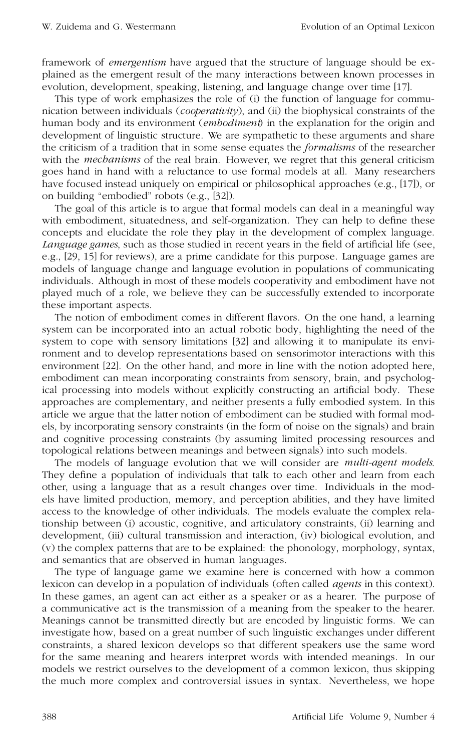framework of *emergentism* have argued that the structure of language should be explained as the emergent result of the many interactions between known processes in evolution, development, speaking, listening, and language change over time [17].

This type of work emphasizes the role of (i) the function of language for communication between individuals (*cooperativity* ), and (ii) the biophysical constraints of the human body and its environment (*embodiment*) in the explanation for the origin and development of linguistic structure. We are sympathetic to these arguments and share the criticism of a tradition that in some sense equates the *formalisms* of the researcher with the *mechanisms* of the real brain. However, we regret that this general criticism goes hand in hand with a reluctance to use formal models at all. Many researchers have focused instead uniquely on empirical or philosophical approaches (e.g., [17]), or on building "embodied" robots (e.g., [32]).

The goal of this article is to argue that formal models can deal in a meaningful way with embodiment, situatedness, and self-organization. They can help to define these concepts and elucidate the role they play in the development of complex language. *Language games*, such as those studied in recent years in the field of artificial life (see, e.g., [29, 15] for reviews), are a prime candidate for this purpose. Language games are models of language change and language evolution in populations of communicating individuals. Although in most of these models cooperativity and embodiment have not played much of a role, we believe they can be successfully extended to incorporate these important aspects.

The notion of embodiment comes in different flavors. On the one hand, a learning system can be incorporated into an actual robotic body, highlighting the need of the system to cope with sensory limitations [32] and allowing it to manipulate its environment and to develop representations based on sensorimotor interactions with this environment [22]. On the other hand, and more in line with the notion adopted here, embodiment can mean incorporating constraints from sensory, brain, and psychological processing into models without explicitly constructing an articial body. These approaches are complementary, and neither presents a fully embodied system. In this article we argue that the latter notion of embodiment can be studied with formal models, by incorporating sensory constraints (in the form of noise on the signals) and brain and cognitive processing constraints (by assuming limited processing resources and topological relations between meanings and between signals) into such models.

The models of language evolution that we will consider are *multi-agent models*. They define a population of individuals that talk to each other and learn from each other, using a language that as a result changes over time. Individuals in the models have limited production, memory, and perception abilities, and they have limited access to the knowledge of other individuals. The models evaluate the complex relationship between (i) acoustic, cognitive, and articulatory constraints, (ii) learning and development, (iii) cultural transmission and interaction, (iv) biological evolution, and (v) the complex patterns that are to be explained: the phonology, morphology, syntax, and semantics that are observed in human languages.

The type of language game we examine here is concerned with how a common lexicon can develop in a population of individuals (often called *agents* in this context). In these games, an agent can act either as a speaker or as a hearer. The purpose of a communicative act is the transmission of a meaning from the speaker to the hearer. Meanings cannot be transmitted directly but are encoded by linguistic forms. We can investigate how, based on a great number of such linguistic exchanges under different constraints, a shared lexicon develops so that different speakers use the same word for the same meaning and hearers interpret words with intended meanings. In our models we restrict ourselves to the development of a common lexicon, thus skipping the much more complex and controversial issues in syntax. Nevertheless, we hope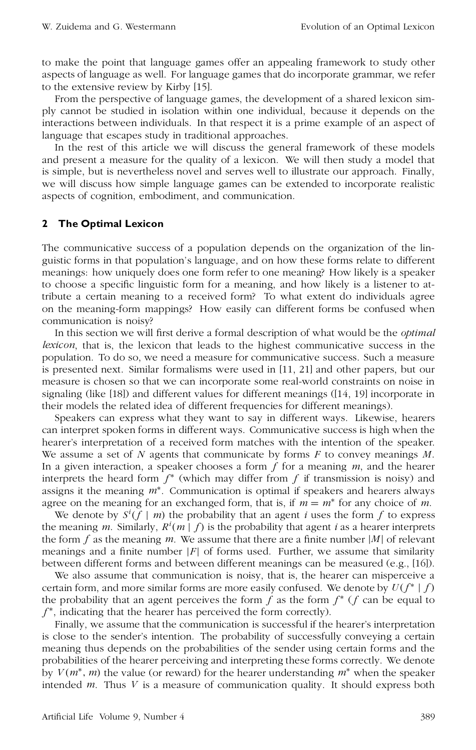to make the point that language games offer an appealing framework to study other aspects of language as well. For language games that do incorporate grammar, we refer to the extensive review by Kirby [15].

From the perspective of language games, the development of a shared lexicon simply cannot be studied in isolation within one individual, because it depends on the interactions between individuals. In that respect it is a prime example of an aspect of language that escapes study in traditional approaches.

In the rest of this article we will discuss the general framework of these models and present a measure for the quality of a lexicon. We will then study a model that is simple, but is nevertheless novel and serves well to illustrate our approach. Finally, we will discuss how simple language games can be extended to incorporate realistic aspects of cognition, embodiment, and communication.

#### **2 The Optimal Lexicon**

The communicative success of a population depends on the organization of the linguistic forms in that population's language, and on how these forms relate to different meanings: how uniquely does one form refer to one meaning? How likely is a speaker to choose a specific linguistic form for a meaning, and how likely is a listener to attribute a certain meaning to a received form? To what extent do individuals agree on the meaning-form mappings? How easily can different forms be confused when communication is noisy?

In this section we will first derive a formal description of what would be the *optimal lexicon*, that is, the lexicon that leads to the highest communicative success in the population. To do so, we need a measure for communicative success. Such a measure is presented next. Similar formalisms were used in [11, 21] and other papers, but our measure is chosen so that we can incorporate some real-world constraints on noise in signaling (like [18]) and different values for different meanings ([14, 19] incorporate in their models the related idea of different frequencies for different meanings).

Speakers can express what they want to say in different ways. Likewise, hearers can interpret spoken forms in different ways. Communicative success is high when the hearer's interpretation of a received form matches with the intention of the speaker. We assume a set of *N* agents that communicate by forms *F* to convey meanings *M*. In a given interaction, a speaker chooses a form *f* for a meaning *m*, and the hearer interprets the heard form  $f^*$  (which may differ from  $f$  if transmission is noisy) and assigns it the meaning *m*¤ . Communication is optimal if speakers and hearers always agree on the meaning for an exchanged form, that is, if  $m = m^*$  for any choice of *m*.

We denote by  $S^{i}(\bar{f} \mid m)$  the probability that an agent *i* uses the form  $f$  to express the meaning *m*. Similarly,  $R^i(m | f)$  is the probability that agent *i* as a hearer interprets the form  $f$  as the meaning  $m$ . We assume that there are a finite number  $|M|$  of relevant meanings and a finite number  $|F|$  of forms used. Further, we assume that similarity between different forms and between different meanings can be measured (e.g., [16]).

We also assume that communication is noisy, that is, the hearer can misperceive a certain form, and more similar forms are more easily confused. We denote by  $U(f^* | f)$ the probability that an agent perceives the form  $f$  as the form  $f^*$  ( $f$  can be equal to  $f^*$ , indicating that the hearer has perceived the form correctly).

Finally, we assume that the communication is successful if the hearer's interpretation is close to the sender's intention. The probability of successfully conveying a certain meaning thus depends on the probabilities of the sender using certain forms and the probabilities of the hearer perceiving and interpreting these forms correctly. We denote by  $V(m^*, m)$  the value (or reward) for the hearer understanding  $m^*$  when the speaker intended *m*. Thus *V* is a measure of communication quality. It should express both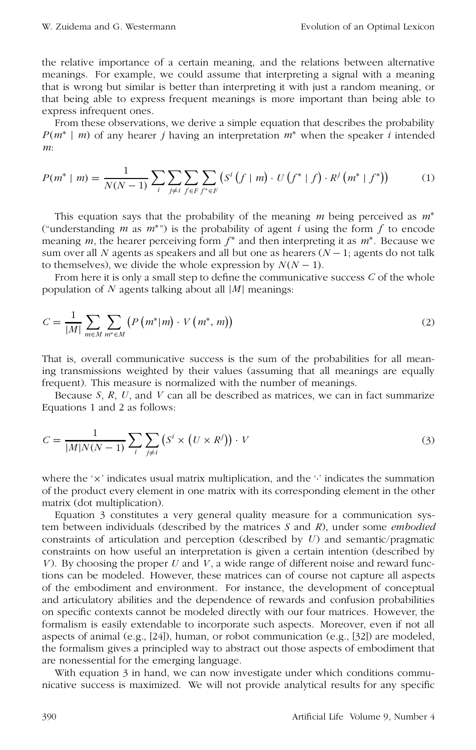the relative importance of a certain meaning, and the relations between alternative meanings. For example, we could assume that interpreting a signal with a meaning that is wrong but similar is better than interpreting it with just a random meaning, or that being able to express frequent meanings is more important than being able to express infrequent ones.

From these observations, we derive a simple equation that describes the probability  $P(m^* | m)$  of any hearer *j* having an interpretation  $m^*$  when the speaker *i* intended *m*:

$$
P(m^* \mid m) = \frac{1}{N(N-1)} \sum_{i} \sum_{j \neq i} \sum_{f \in F} \sum_{f^* \in F} \left( S^i \left( f \mid m \right) \cdot U \left( f^* \mid f \right) \cdot R^j \left( m^* \mid f^* \right) \right) \tag{1}
$$

This equation says that the probability of the meaning *m* being perceived as  $m^*$ ("understanding *m* as  $m^*$ ") is the probability of agent *i* using the form *f* to encode meaning *m*, the hearer perceiving form  $f^*$  and then interpreting it as  $m^*$ . Because we sum over all *N* agents as speakers and all but one as hearers  $(N - 1)$ ; agents do not talk to themselves), we divide the whole expression by  $N(N - 1)$ .

From here it is only a small step to define the communicative success  $C$  of the whole population of *N* agents talking about all j*M*j meanings:

$$
C = \frac{1}{|M|} \sum_{m \in M} \sum_{m^* \in M} \left( P\left(m^*|m\right) \cdot V\left(m^*, m\right) \right) \tag{2}
$$

That is, overall communicative success is the sum of the probabilities for all meaning transmissions weighted by their values (assuming that all meanings are equally frequent). This measure is normalized with the number of meanings.

Because *S*, *R*, *U* , and *V* can all be described as matrices, we can in fact summarize Equations 1 and 2 as follows:

$$
C = \frac{1}{|M|N(N-1)} \sum_{i} \sum_{j \neq i} (S^i \times (U \times R^j)) \cdot V
$$
 (3)

where the ' $\times$ ' indicates usual matrix multiplication, and the ' $\cdot$ ' indicates the summation of the product every element in one matrix with its corresponding element in the other matrix (dot multiplication).

Equation 3 constitutes a very general quality measure for a communication system between individuals (described by the matrices *S* and *R*), under some *embodied* constraints of articulation and perception (described by *U*) and semantic/pragmatic constraints on how useful an interpretation is given a certain intention (described by *V* ). By choosing the proper *U* and *V* , a wide range of different noise and reward functions can be modeled. However, these matrices can of course not capture all aspects of the embodiment and environment. For instance, the development of conceptual and articulatory abilities and the dependence of rewards and confusion probabilities on specific contexts cannot be modeled directly with our four matrices. However, the formalism is easily extendable to incorporate such aspects. Moreover, even if not all aspects of animal (e.g.,  $[24]$ ), human, or robot communication (e.g.,  $[32]$ ) are modeled, the formalism gives a principled way to abstract out those aspects of embodiment that are nonessential for the emerging language.

With equation 3 in hand, we can now investigate under which conditions communicative success is maximized. We will not provide analytical results for any specific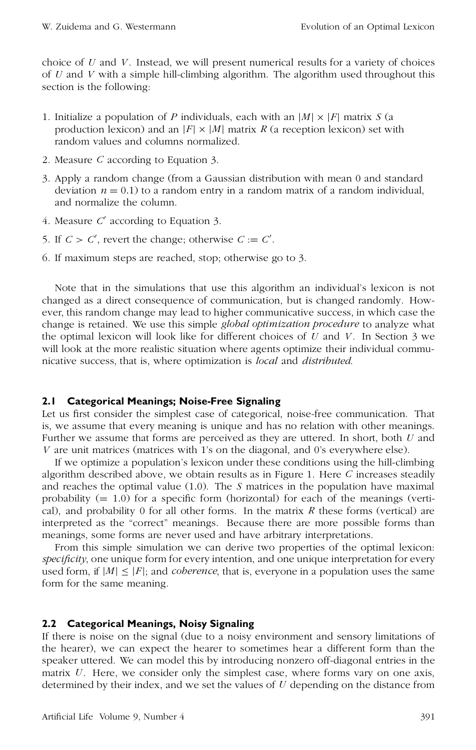choice of *U* and *V* . Instead, we will present numerical results for a variety of choices of *U* and *V* with a simple hill-climbing algorithm. The algorithm used throughout this section is the following:

- 1. Initialize a population of *P* individuals, each with an  $|M| \times |F|$  matrix *S* (a production lexicon) and an  $|F| \times |M|$  matrix *R* (a reception lexicon) set with random values and columns normalized.
- 2. Measure *C* according to Equation 3.
- 3. Apply a random change (from a Gaussian distribution with mean 0 and standard deviation  $n = 0.1$ ) to a random entry in a random matrix of a random individual, and normalize the column.
- 4. Measure *C* 0 according to Equation 3.
- 5. If  $C > C'$ , revert the change; otherwise  $C := C'$ .
- 6. If maximum steps are reached, stop; otherwise go to 3.

Note that in the simulations that use this algorithm an individual's lexicon is not changed as a direct consequence of communication, but is changed randomly. However, this random change may lead to higher communicative success, in which case the change is retained. We use this simple *global optimization procedure* to analyze what the optimal lexicon will look like for different choices of *U* and *V* . In Section 3 we will look at the more realistic situation where agents optimize their individual communicative success, that is, where optimization is *local* and *distributed*.

## **2.1 Categorical Meanings; Noise-Free Signaling**

Let us first consider the simplest case of categorical, noise-free communication. That is, we assume that every meaning is unique and has no relation with other meanings. Further we assume that forms are perceived as they are uttered. In short, both *U* and *V* are unit matrices (matrices with 1's on the diagonal, and 0's everywhere else).

If we optimize a population's lexicon under these conditions using the hill-climbing algorithm described above, we obtain results as in Figure 1. Here *C* increases steadily and reaches the optimal value (1:0). The *S* matrices in the population have maximal probability  $(= 1.0)$  for a specific form (horizontal) for each of the meanings (vertical), and probability 0 for all other forms. In the matrix *R* these forms (vertical) are interpreted as the "correct" meanings. Because there are more possible forms than meanings, some forms are never used and have arbitrary interpretations.

From this simple simulation we can derive two properties of the optimal lexicon: *specificity*, one unique form for every intention, and one unique interpretation for every used form, if  $|M| \leq |F|$ ; and *coherence*, that is, everyone in a population uses the same form for the same meaning.

## **2.2 Categorical Meanings, Noisy Signaling**

If there is noise on the signal (due to a noisy environment and sensory limitations of the hearer), we can expect the hearer to sometimes hear a different form than the speaker uttered. We can model this by introducing nonzero off-diagonal entries in the matrix *U*. Here, we consider only the simplest case, where forms vary on one axis, determined by their index, and we set the values of *U* depending on the distance from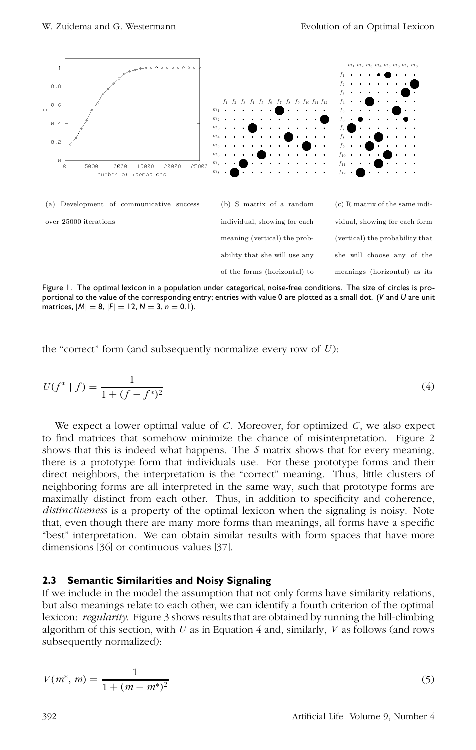

Figure 1. The optimal lexicon in a population under categorical, noise-free conditions. The size of circles is proportional to the value of the corresponding entry; entries with value 0 are plotted as a small dot. (*V* and *U* are unit matrices,  $|M| = 8$ ,  $|F| = 12$ ,  $N = 3$ ,  $n = 0.1$ ).

the "correct" form (and subsequently normalize every row of *U* ):

$$
U(f^* | f) = \frac{1}{1 + (f - f^*)^2}
$$
\n(4)

We expect a lower optimal value of *C*. Moreover, for optimized *C*, we also expect to find matrices that somehow minimize the chance of misinterpretation. Figure 2 shows that this is indeed what happens. The *S* matrix shows that for every meaning, there is a prototype form that individuals use. For these prototype forms and their direct neighbors, the interpretation is the "correct" meaning. Thus, little clusters of neighboring forms are all interpreted in the same way, such that prototype forms are maximally distinct from each other. Thus, in addition to specificity and coherence, *distinctiveness* is a property of the optimal lexicon when the signaling is noisy. Note that, even though there are many more forms than meanings, all forms have a specific "best" interpretation. We can obtain similar results with form spaces that have more dimensions [36] or continuous values [37].

### **2.3 Semantic Similarities and Noisy Signaling**

If we include in the model the assumption that not only forms have similarity relations, but also meanings relate to each other, we can identify a fourth criterion of the optimal lexicon: *regularity*. Figure 3 shows results that are obtained by running the hill-climbing algorithm of this section, with *U* as in Equation 4 and, similarly, *V* as follows (and rows subsequently normalized):

$$
V(m^*, m) = \frac{1}{1 + (m - m^*)^2}
$$
 (5)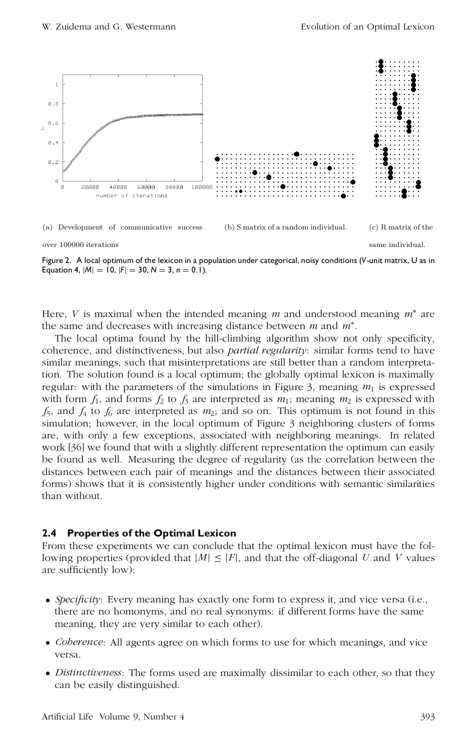

Figure 2. A local optimum of the lexicon in a population under categorical, noisy conditions (*V*-unit matrix, U as in Equation 4,  $|M| = 10$ ,  $|F| = 30$ ,  $N = 3$ ,  $n = 0.1$ ).

Here, *V* is maximal when the intended meaning *m* and understood meaning *m*¤ are the same and decreases with increasing distance between *m* and *m*¤ .

The local optima found by the hill-climbing algorithm show not only specificity, coherence, and distinctiveness, but also *partial regularity*: similar forms tend to have similar meanings, such that misinterpretations are still better than a random interpretation. The solution found is a local optimum; the globally optimal lexicon is maximally regular: with the parameters of the simulations in Figure 3, meaning  $m_1$  is expressed with form  $f_1$ , and forms  $f_2$  to  $f_3$  are interpreted as  $m_1$ ; meaning  $m_2$  is expressed with  $f_5$ , and  $f_4$  to  $f_6$  are interpreted as  $m_2$ ; and so on. This optimum is not found in this simulation; however, in the local optimum of Figure 3 neighboring clusters of forms are, with only a few exceptions, associated with neighboring meanings. In related work [36] we found that with a slightly different representation the optimum can easily be found as well. Measuring the degree of regularity (as the correlation between the distances between each pair of meanings and the distances between their associated forms) shows that it is consistently higher under conditions with semantic similarities than without.

#### **2.4 Properties of the Optimal Lexicon**

From these experiments we can conclude that the optimal lexicon must have the following properties (provided that  $|M| \leq |F|$ , and that the off-diagonal *U* and *V* values are sufficiently low):

- *Specificity*: Every meaning has exactly one form to express it, and vice versa (i.e., there are no homonyms, and no real synonyms: if different forms have the same meaning, they are very similar to each other).
- ² *Coherence*: All agents agree on which forms to use for which meanings, and vice versa.
- ² *Distinctiveness*: The forms used are maximally dissimilar to each other, so that they can be easily distinguished.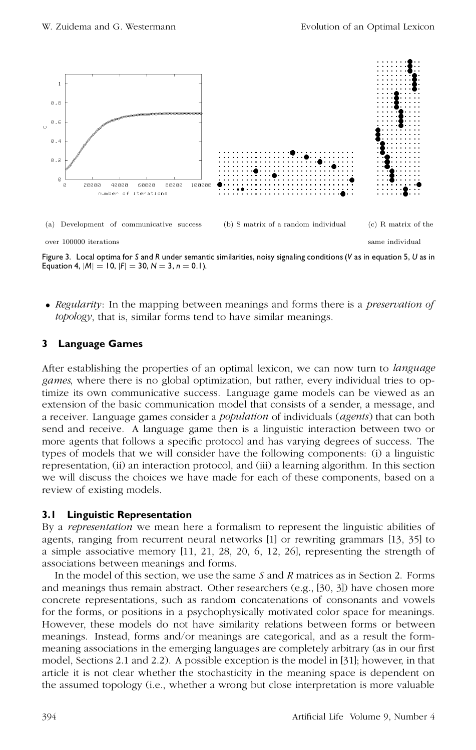

Figure 3. Local optima for *S* and *R* under semantic similarities, noisy signaling conditions(*V* as in equation 5,*U* as in Equation 4,  $|M| = 10$ ,  $|F| = 30$ ,  $N = 3$ ,  $n = 0.1$ ).

² *Regularity*: In the mapping between meanings and forms there is a *preservation of topology*, that is, similar forms tend to have similar meanings.

# **3 Language Games**

After establishing the properties of an optimal lexicon, we can now turn to *language games*, where there is no global optimization, but rather, every individual tries to optimize its own communicative success. Language game models can be viewed as an extension of the basic communication model that consists of a sender, a message, and a receiver. Language games consider a *population* of individuals (*agents*) that can both send and receive. A language game then is a linguistic interaction between two or more agents that follows a specific protocol and has varying degrees of success. The types of models that we will consider have the following components: (i) a linguistic representation, (ii) an interaction protocol, and (iii) a learning algorithm. In this section we will discuss the choices we have made for each of these components, based on a review of existing models.

## **3.1 Linguistic Representation**

By a *representation* we mean here a formalism to represent the linguistic abilities of agents, ranging from recurrent neural networks [1] or rewriting grammars [13, 35] to a simple associative memory [11, 21, 28, 20, 6, 12, 26], representing the strength of associations between meanings and forms.

In the model of this section, we use the same *S* and *R* matrices as in Section 2. Forms and meanings thus remain abstract. Other researchers (e.g., [30, 3]) have chosen more concrete representations, such as random concatenations of consonants and vowels for the forms, or positions in a psychophysically motivated color space for meanings. However, these models do not have similarity relations between forms or between meanings. Instead, forms and/or meanings are categorical, and as a result the formmeaning associations in the emerging languages are completely arbitrary (as in our first model, Sections 2.1 and 2.2). A possible exception is the model in [31]; however, in that article it is not clear whether the stochasticity in the meaning space is dependent on the assumed topology (i.e., whether a wrong but close interpretation is more valuable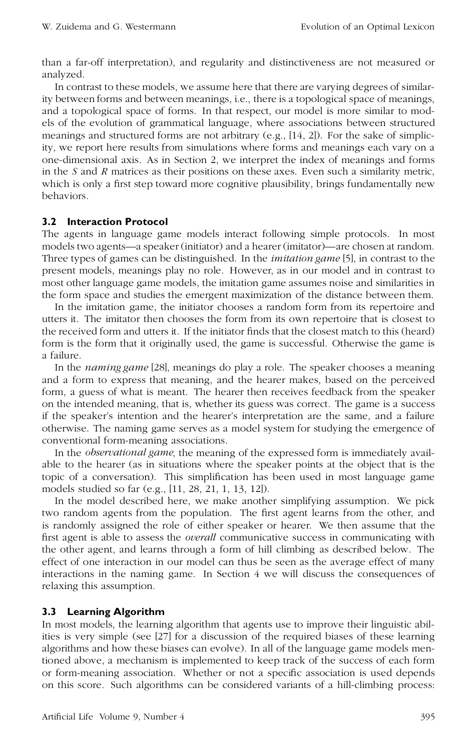than a far-off interpretation), and regularity and distinctiveness are not measured or analyzed.

In contrast to these models, we assume here that there are varying degrees of similarity between forms and between meanings, i.e., there is a topological space of meanings, and a topological space of forms. In that respect, our model is more similar to models of the evolution of grammatical language, where associations between structured meanings and structured forms are not arbitrary (e.g., [14, 2]). For the sake of simplicity, we report here results from simulations where forms and meanings each vary on a one-dimensional axis. As in Section 2, we interpret the index of meanings and forms in the *S* and *R* matrices as their positions on these axes. Even such a similarity metric, which is only a first step toward more cognitive plausibility, brings fundamentally new behaviors.

## **3.2 Interaction Protocol**

The agents in language game models interact following simple protocols. In most models two agents—a speaker (initiator) and a hearer (imitator)—are chosen at random. Three types of games can be distinguished. In the *imitation game* [5], in contrast to the present models, meanings play no role. However, as in our model and in contrast to most other language game models, the imitation game assumes noise and similarities in the form space and studies the emergent maximization of the distance between them.

In the imitation game, the initiator chooses a random form from its repertoire and utters it. The imitator then chooses the form from itsown repertoire that is closest to the received form and utters it. If the initiator finds that the closest match to this (heard) form is the form that it originally used, the game is successful. Otherwise the game is a failure.

In the *naming game* [28], meanings do play a role. The speaker chooses a meaning and a form to express that meaning, and the hearer makes, based on the perceived form, a guess of what is meant. The hearer then receives feedback from the speaker on the intended meaning, that is, whether its guess was correct. The game is a success if the speaker's intention and the hearer's interpretation are the same, and a failure otherwise. The naming game serves as a model system forstudying the emergence of conventional form-meaning associations.

In the *observational game*, the meaning of the expressed form is immediately available to the hearer (as in situations where the speaker points at the object that is the topic of a conversation). This simplication has been used in most language game models studied so far (e.g., [11, 28, 21, 1, 13, 12]).

In the model described here, we make another simplifying assumption. We pick two random agents from the population. The first agent learns from the other, and is randomly assigned the role of either speaker or hearer. We then assume that the first agent is able to assess the *overall* communicative success in communicating with the other agent, and learns through a form of hill climbing as described below. The effect of one interaction in our model can thus be seen as the average effect of many interactions in the naming game. In Section 4 we will discuss the consequences of relaxing this assumption.

## **3.3 Learning Algorithm**

In most models, the learning algorithm that agents use to improve their linguistic abilities is very simple (see [27] for a discussion of the required biases of these learning algorithms and how these biases can evolve). In all of the language game models mentioned above, a mechanism is implemented to keep track of the success of each form or form-meaning association. Whether or not a specific association is used depends on this score. Such algorithms can be considered variants of a hill-climbing process: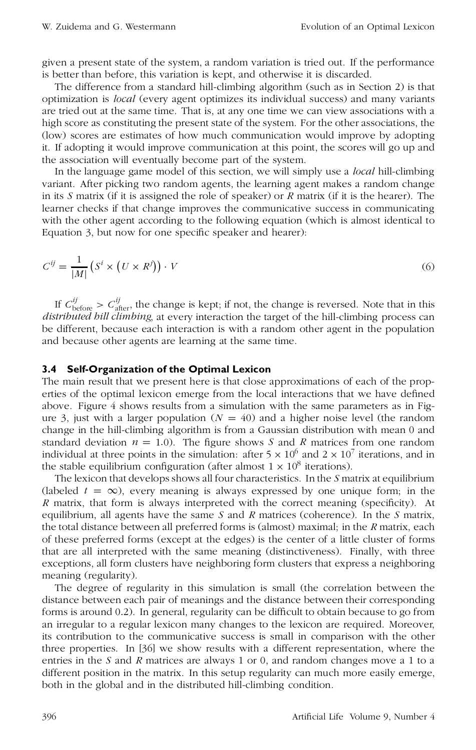given a present state of the system, a random variation is tried out. If the performance is better than before, this variation is kept, and otherwise it is discarded.

The difference from a standard hill-climbing algorithm (such as in Section 2) is that optimization is *local* (every agent optimizes its individual success) and many variants are tried out at the same time. That is, at any one time we can view associations with a high score as constituting the present state of the system. For the other associations, the (low) scores are estimates of how much communication would improve by adopting it. If adopting itwould improve communication at this point, the scores will go up and the association will eventually become part of the system.

In the language game model of this section, we will simply use a *local* hill-climbing variant. After picking two random agents, the learning agent makes a random change in its *S* matrix (if it is assigned the role of speaker) or *R* matrix (if it is the hearer). The learner checks if that change improves the communicative success in communicating with the other agent according to the following equation (which is almost identical to Equation 3, but now for one specific speaker and hearer):

$$
C^{ij} = \frac{1}{|M|} \left( S^i \times \left( U \times R^j \right) \right) \cdot V \tag{6}
$$

If  $C_{\text{before}}^{ij} > C_{\text{after}}^{ij}$ , the change is kept; if not, the change is reversed. Note that in this *distributed hill climbing*, at every interaction the target of the hill-climbing process can be different, because each interaction is with a random other agent in the population and because other agents are learning at the same time.

#### **3.4 Self-Organization of the Optimal Lexicon**

The main result that we present here is that close approximations of each of the properties of the optimal lexicon emerge from the local interactions that we have dened above. Figure 4 shows results from a simulation with the same parameters as in Figure 3, just with a larger population  $(N = 40)$  and a higher noise level (the random change in the hill-climbing algorithm is from a Gaussian distribution with mean 0 and standard deviation  $n = 1.0$ ). The figure shows *S* and *R* matrices from one random individual at three points in the simulation: after  $5 \times 10^6$  and  $2 \times 10^7$  iterations, and in the stable equilibrium configuration (after almost  $1 \times 10^8$  iterations).

The lexicon that develops shows all four characteristics. In the *S* matrix at equilibrium (labeled  $t = \infty$ ), every meaning is always expressed by one unique form; in the *R* matrix, that form is always interpreted with the correct meaning (specificity). At equilibrium, all agents have the same *S* and *R* matrices (coherence). In the *S* matrix, the total distance between all preferred forms is (almost) maximal; in the *R* matrix, each of these preferred forms (except at the edges) is the center of a little cluster of forms that are all interpreted with the same meaning (distinctiveness). Finally, with three exceptions, all form clusters have neighboring form clusters that express a neighboring meaning (regularity).

The degree of regularity in this simulation is small (the correlation between the distance between each pair of meanings and the distance between their corresponding forms is around 0.2). In general, regularity can be difficult to obtain because to go from an irregular to a regular lexicon many changes to the lexicon are required. Moreover, its contribution to the communicative success is small in comparison with the other three properties. In [36] we show results with a different representation, where the entries in the *S* and *R* matrices are always 1 or 0, and random changes move a 1 to a different position in the matrix. In this setup regularity can much more easily emerge, both in the global and in the distributed hill-climbing condition.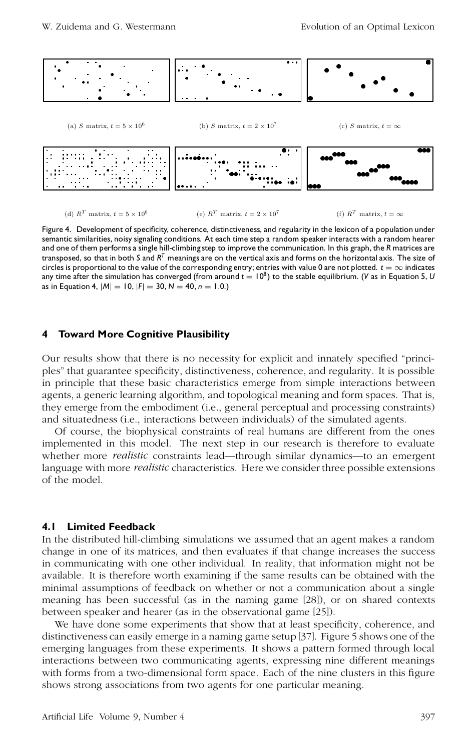

Figure 4. Development of specificity, coherence, distinctiveness, and regularity in the lexicon of a population under semantic similarities, noisy signaling conditions. At each time step a random speaker interacts with a random hearer and one of them performs a single hill-climbing step to improve the communication. In this graph, the *R* matrices are transposed, so that in both *S* and *R <sup>T</sup>* meanings are on the vertical axis and forms on the horizontal axis. The size of circles is proportional to the value of the corresponding entry; entries with value 0 are not plotted.  $t = \infty$  indicates any time after the simulation has converged (from around  $t = 10^8$ ) to the stable equilibrium. (*V* as in Equation 5, *U* as in Equation 4,  $|M| = 10$ ,  $|F| = 30$ ,  $N = 40$ ,  $n = 1.0$ .)

#### **4 Toward More Cognitive Plausibility**

Our results show that there is no necessity for explicit and innately specified "principles" that guarantee specicity, distinctiveness, coherence, and regularity. It is possible in principle that these basic characteristics emerge from simple interactions between agents, a generic learning algorithm, and topological meaning and form spaces. That is, they emerge from the embodiment (i.e., general perceptual and processing constraints) and situatedness (i.e., interactions between individuals) of the simulated agents.

Of course, the biophysical constraints of real humans are different from the ones implemented in this model. The next step in our research is therefore to evaluate whether more *realistic* constraints lead—through similar dynamics—to an emergent language with more *realistic* characteristics. Here we consider three possible extensions of the model.

#### **4.1 Limited Feedback**

In the distributed hill-climbing simulations we assumed that an agent makes a random change in one of its matrices, and then evaluates if that change increases the success in communicating with one other individual. In reality, that information might not be available. It is therefore worth examining if the same results can be obtained with the minimal assumptions of feedback on whether or not a communication about a single meaning has been successful (as in the naming game [28]), or on shared contexts between speaker and hearer (as in the observational game [25]).

We have done some experiments that show that at least specificity, coherence, and distinctiveness can easily emerge in a naming game setup [37]. Figure 5 shows one of the emerging languages from these experiments. It shows a pattern formed through local interactions between two communicating agents, expressing nine different meanings with forms from a two-dimensional form space. Each of the nine clusters in this figure shows strong associations from two agents for one particular meaning.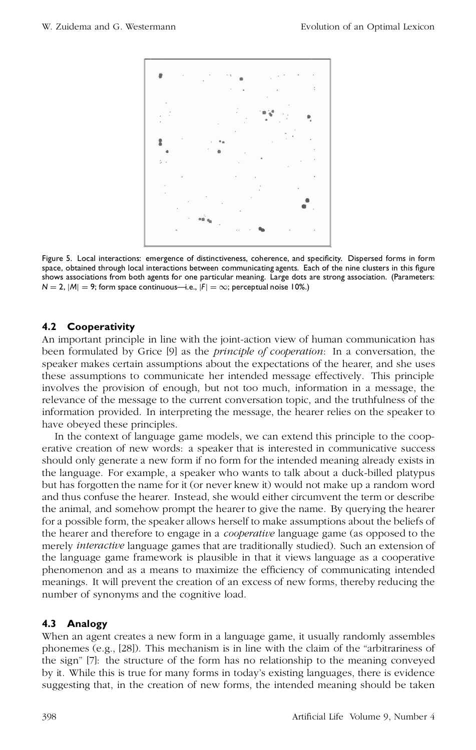

Figure 5. Local interactions: emergence of distinctiveness, coherence, and specificity. Dispersed forms in form space, obtained through local interactions between communicating agents. Each of the nine clusters in this figure shows associations from both agents for one particular meaning. Large dots are strong association. (Parameters:  $N = 2$ ,  $|M| = 9$ ; form space continuous—i.e.,  $|F| = \infty$ ; perceptual noise 10%.)

# **4.2 Cooperativity**

An important principle in line with the joint-action view of human communication has been formulated by Grice [9] as the *principle of cooperation*: In a conversation, the speaker makes certain assumptions about the expectations of the hearer, and she uses these assumptions to communicate her intended message effectively. This principle involves the provision of enough, but not too much, information in a message, the relevance of the message to the current conversation topic, and the truthfulness of the information provided. In interpreting the message, the hearer relies on the speaker to have obeyed these principles.

In the context of language game models, we can extend this principle to the cooperative creation of new words: a speaker that is interested in communicative success should only generate a new form if no form forthe intended meaning already exists in the language. For example, a speaker who wants to talk about a duck-billed platypus but has forgotten the name for it (or never knew it) would not make up a random word and thus confuse the hearer. Instead, she would either circumvent the term or describe the animal, and somehow prompt the hearer to give the name. By querying the hearer for a possible form, the speaker allows herself to make assumptions about the beliefs of the hearer and therefore to engage in a *cooperative* language game (as opposed to the merely *interactive* language games that are traditionally studied). Such an extension of the language game framework is plausible in that it views language as a cooperative phenomenon and as a means to maximize the efficiency of communicating intended meanings. It will prevent the creation of an excess of new forms, thereby reducing the number of synonyms and the cognitive load.

# **4.3 Analogy**

When an agent creates a new form in a language game, it usually randomly assembles phonemes (e.g., [28]). This mechanism is in line with the claim of the "arbitrariness of the sign" [7]: the structure of the form has no relationship to the meaning conveyed by it. While this is true for many forms in today's existing languages, there is evidence suggesting that, in the creation of new forms, the intended meaning should be taken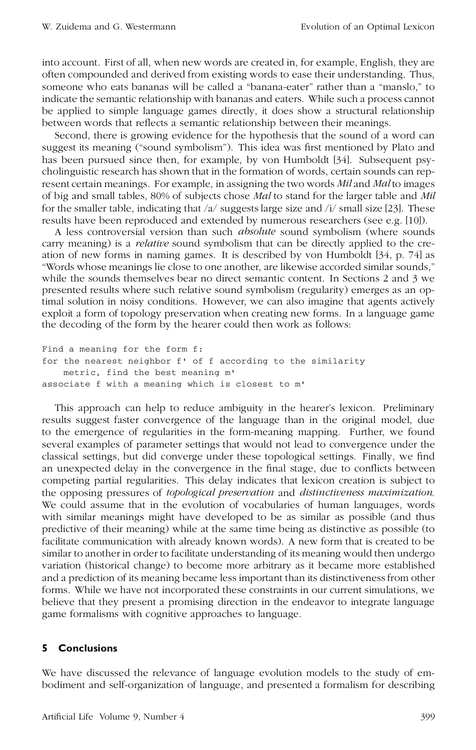into account. First of all, when new words are created in, for example, English, they are often compounded and derived from existing words to ease their understanding. Thus, someone who eats bananas will be called a "banana-eater" rather than a "manslo," to indicate the semantic relationship with bananas and eaters. While such a process cannot be applied to simple language games directly, it does show a structural relationship between words that reflects a semantic relationship between their meanings.

Second, there is growing evidence for the hypothesis that the sound of a word can suggest its meaning ("sound symbolism"). This idea was first mentioned by Plato and has been pursued since then, for example, by von Humboldt [34]. Subsequent psycholinguistic research has shown that in the formation of words, certain sounds can represent certain meanings. For example, in assigning the two words *Mil* and *Mal* to images of big and small tables, 80% of subjects chose *Mal* to stand for the larger table and *Mil* for the smaller table, indicating that  $\frac{a}{\text{avggets}}$  size size and  $\frac{b}{\text{sinall}}$  size [23]. These results have been reproduced and extended by numerous researchers (see e.g. [10]).

A less controversial version than such *absolute* sound symbolism (where sounds carry meaning) is a *relative* sound symbolism that can be directly applied to the creation of new forms in naming games. It is described by von Humboldt [34, p. 74] as "Words whose meanings lie close to one another, are likewise accorded similar sounds," while the sounds themselves bear no direct semantic content. In Sections 2 and 3 we presented results where such relative sound symbolism (regularity) emerges as an optimal solution in noisy conditions. However, we can also imagine that agents actively exploit a form of topology preservation when creating new forms. In a language game the decoding of the form by the hearer could then work as follows:

```
Find a meaning for the form f:
for the nearest neighbor f' of f according to the similarity
    metric, find the best meaning m'
associate f with a meaning which is closest to m'
```
This approach can help to reduce ambiguity in the hearer's lexicon. Preliminary results suggest faster convergence of the language than in the original model, due to the emergence of regularities in the form-meaning mapping. Further, we found several examples of parameter settings that would not lead to convergence under the classical settings, but did converge under these topological settings. Finally, we find an unexpected delay in the convergence in the final stage, due to conflicts between competing partial regularities. This delay indicates that lexicon creation is subject to the opposing pressures of *topological preservation* and *distinctiveness maximization*. We could assume that in the evolution of vocabularies of human languages, words with similar meanings might have developed to be as similar as possible (and thus predictive of their meaning) while at the same time being as distinctive as possible (to facilitate communication with already known words). A new form that is created to be similar to another in order to facilitate understanding of its meaning would then undergo variation (historical change) to become more arbitrary as it became more established and a prediction of its meaning became less important than its distinctiveness from other forms. While we have not incorporated these constraints in our current simulations, we believe that they present a promising direction in the endeavor to integrate language game formalisms with cognitive approaches to language.

# **5 Conclusions**

We have discussed the relevance of language evolution models to the study of embodiment and self-organization of language, and presented a formalism for describing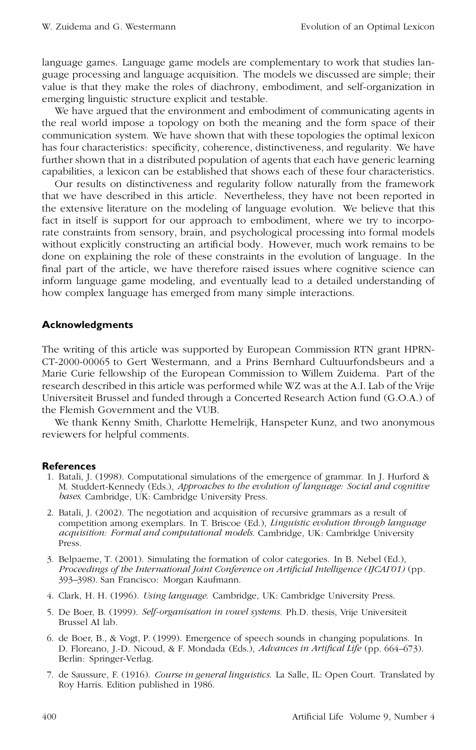language games. Language game models are complementary to work that studies language processing and language acquisition. The models we discussed are simple; their value is that they make the roles of diachrony, embodiment, and self-organization in emerging linguistic structure explicit and testable.

We have argued that the environment and embodiment of communicating agents in the real world impose a topology on both the meaning and the form space of their communication system. We have shown that with these topologies the optimal lexicon has four characteristics: specificity, coherence, distinctiveness, and regularity. We have further shown that in a distributed population of agents that each have generic learning capabilities, a lexicon can be established that shows each of these four characteristics.

Our results on distinctiveness and regularity follow naturally from the framework that we have described in this article. Nevertheless, they have not been reported in the extensive literature on the modeling of language evolution. We believe that this fact in itself is support for our approach to embodiment, where we try to incorporate constraints from sensory, brain, and psychological processing into formal models without explicitly constructing an artificial body. However, much work remains to be done on explaining the role of these constraints in the evolution of language. In the final part of the article, we have therefore raised issues where cognitive science can inform language game modeling, and eventually lead to a detailed understanding of how complex language has emerged from many simple interactions.

# **Acknowledgments**

The writing of this article was supported by European Commission RTN grant HPRN-CT-2000-00065 to Gert Westermann, and a Prins Bernhard Cultuurfondsbeurs and a Marie Curie fellowship of the European Commission to Willem Zuidema. Part of the research described in this article was performed while WZ was at the A.I. Lab of the Vrije Universiteit Brussel and funded through a Concerted Research Action fund (G.O.A.) of the Flemish Government and the VUB.

We thank Kenny Smith, Charlotte Hemelrijk, Hanspeter Kunz, and two anonymous reviewers for helpful comments.

## **References**

- 1. Batali, J. (1998). Computational simulations of the emergence of grammar. In J.Hurford & M. Studdert-Kennedy (Eds.), *Approaches to the evolution of language: Social and cognitive bases*. Cambridge, UK: Cambridge University Press.
- 2. Batali, J. (2002). The negotiation and acquisition of recursive grammars as a result of competition among exemplars. In T. Briscoe (Ed.), *Linguistic evolution through language acquisition: Formal and computational models*. Cambridge, UK: Cambridge University Press.
- 3. Belpaeme, T. (2001). Simulating the formation of color categories. In B. Nebel (Ed.), *Proceedings of the International Joint Conference on Articial Intelligence (IJCAI'01)* (pp. 393–398). San Francisco: Morgan Kaufmann.
- 4. Clark, H. H. (1996). *Using language*. Cambridge, UK: Cambridge University Press.
- 5. De Boer, B. (1999). *Self-organisation in vowel systems*. Ph.D. thesis, Vrije Universiteit Brussel AI lab.
- 6. de Boer, B., & Vogt, P. (1999). Emergence of speech sounds in changing populations. In D. Floreano, J.-D. Nicoud, & F. Mondada (Eds.), *Advances in Artical Life* (pp. 664–673). Berlin: Springer-Verlag.
- 7. de Saussure, F. (1916). *Course in general linguistics*. La Salle, IL: Open Court. Translated by Roy Harris. Edition published in 1986.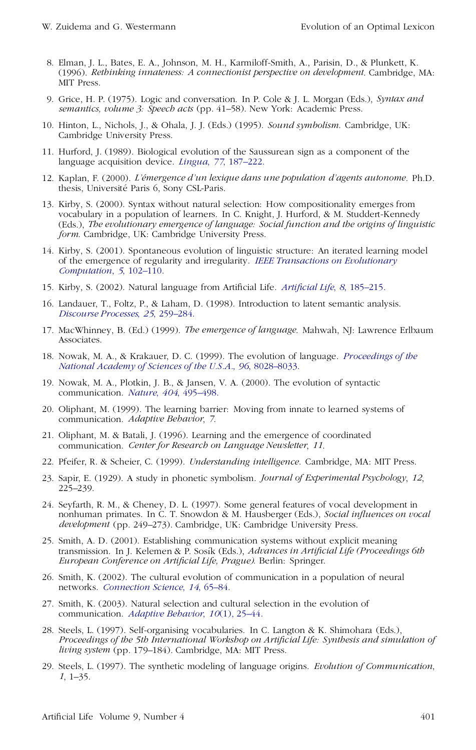- 8. Elman, J. L., Bates, E. A., Johnson, M. H., Karmiloff-Smith, A., Parisin, D., & Plunkett, K. (1996). *Rethinking innateness: A connectionist perspective on development*. Cambridge, MA: MIT Press.
- 9. Grice, H. P. (1975). Logic and conversation. In P. Cole & J. L. Morgan (Eds.), *Syntax and semantics, volume 3: Speech acts* (pp. 41–58). New York: Academic Press.
- 10. Hinton, L., Nichols, J., & Ohala, J. J. (Eds.) (1995). *Sound symbolism*. Cambridge, UK: Cambridge University Press.
- 11. Hurford, J. (1989). Biological evolution of the Saussurean sign as a component of the language acquisition device. *Lingua*, *77*, [187–222.](http://www.ingentaselect.com/rpsv/cgi-bin/linker?ext=a&reqidx=/0024-3841^28^2977L.187[aid=2772563])
- 12. Kaplan, F. (2000). *L'emergence ´ d'un lexique dans une population d'agents autonome*. Ph.D. thesis, Université Paris 6, Sony CSL-Paris.
- 13. Kirby, S. (2000). Syntax without natural selection: How compositionality emerges from vocabulary in a population of learners. In C. Knight, J. Hurford, & M.Studdert-Kennedy (Eds.), *The evolutionary emergence of language: Social function and the origins of linguistic form*. Cambridge, UK: Cambridge University Press.
- 14. Kirby, S. (2001). Spontaneous evolution of linguistic structure: An iterated learning model of the emergence of regularity and irregularity. *IEEE [Transactions](http://www.ingentaselect.com/rpsv/cgi-bin/linker?ext=a&reqidx=/1089-778X^28^295L.102[aid=2712663]) on Evolutionary [Computation](http://www.ingentaselect.com/rpsv/cgi-bin/linker?ext=a&reqidx=/1089-778X^28^295L.102[aid=2712663])*, *5*, 102–110.
- 15. Kirby, S. (2002). Natural language from Articial Life. *[Articial](http://www.ingentaselect.com/rpsv/cgi-bin/linker?ext=a&reqidx=/1064-5462^28^298L.185[aid=4347907]) Life*, *8*, 185–215.
- 16. Landauer, T., Foltz, P., & Laham, D. (1998). Introduction to latent semantic analysis. *[Discourse](http://www.ingentaselect.com/rpsv/cgi-bin/linker?ext=a&reqidx=/0163-853X^28^2925L.259[aid=316829]) Processes*, *25*, 259–284.
- 17. MacWhinney, B. (Ed.) (1999). *The emergence of language*. Mahwah, NJ: Lawrence Erlbaum Associates.
- 18. Nowak, M. A., & Krakauer, D. C. (1999). The evolution of language. *[Proceedings](http://www.ingentaselect.com/rpsv/cgi-bin/linker?ext=a&reqidx=/0027-8424^28^2996L.8028[aid=537626]) of the National Academy of Sciences of the U.S.A.*, *96*, [8028–8033.](http://www.ingentaselect.com/rpsv/cgi-bin/linker?ext=a&reqidx=/0027-8424^28^2996L.8028[aid=537626])
- 19. Nowak, M. A., Plotkin, J. B., & Jansen, V. A. (2000). The evolution of syntactic communication. *Nature*, *404*, [495–498.](http://www.ingentaselect.com/rpsv/cgi-bin/linker?ext=a&reqidx=/0028-0836^28^29404L.495[aid=1841980])
- 20. Oliphant, M. (1999). The learning barrier: Moving from innate to learned systems of communication. *Adaptive Behavior*, *7*.
- 21. Oliphant, M. & Batali, J. (1996). Learning and the emergence of coordinated communication. *Center for Research on Language Newsletter*, *11*.
- 22. Pfeifer, R. & Scheier, C. (1999). *Understanding intelligence*. Cambridge, MA: MIT Press.
- 23. Sapir, E. (1929). A study in phonetic symbolism. *Journal of Experimental Psychology*, *12*, 225–239.
- 24. Seyfarth, R. M., & Cheney, D. L. (1997). Some general features of vocal development in nonhuman primates. In C. T. Snowdon & M.Hausberger (Eds.), *Social inuences on vocal development* (pp. 249–273). Cambridge, UK: Cambridge University Press.
- 25. Smith, A. D. (2001). Establishing communication systems without explicit meaning transmission. In J. Kelemen & P. Sosík (Eds.), *Advances in Artificial Life (Proceedings 6th*) *European Conference on Articial Life, Prague)*. Berlin: Springer.
- 26. Smith, K. (2002). The cultural evolution of communication in a population of neural networks. *[Connection](http://www.ingentaselect.com/rpsv/cgi-bin/linker?ext=a&reqidx=/0954-0091^28^2914L.65[aid=5472289]) Science*, *14*, 65–84.
- 27. Smith, K. (2003). Natural selection and cultural selection in the evolution of communication. *Adaptive [Behavior](http://www.ingentaselect.com/rpsv/cgi-bin/linker?ext=a&reqidx=/1059-7123^28^2910:1L.25[aid=5472291])*, *10*(1), 25–44.
- 28. Steels, L. (1997). Self-organising vocabularies. In C. Langton & K. Shimohara (Eds.), *Proceedings of the 5th International Workshop on Articial Life: Synthesis and simulation of living system* (pp. 179–184). Cambridge, MA: MIT Press.
- 29. Steels, L. (1997). The synthetic modeling of language origins. *Evolution of Communication*, *1*, 1–35.